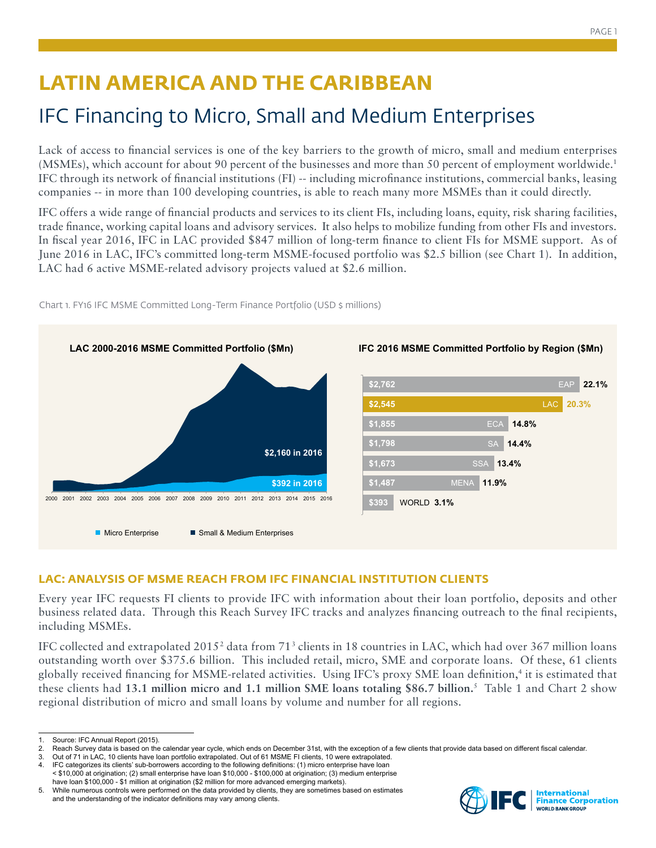# **LATIN AMERICA AND THE CARIBBEAN**

## IFC Financing to Micro, Small and Medium Enterprises

Lack of access to financial services is one of the key barriers to the growth of micro, small and medium enterprises (MSMEs), which account for about 90 percent of the businesses and more than 50 percent of employment worldwide.1 IFC through its network of financial institutions (FI) -- including microfinance institutions, commercial banks, leasing companies -- in more than 100 developing countries, is able to reach many more MSMEs than it could directly.

IFC offers a wide range of financial products and services to its client FIs, including loans, equity, risk sharing facilities, trade finance, working capital loans and advisory services. It also helps to mobilize funding from other FIs and investors. In fiscal year 2016, IFC in LAC provided \$847 million of long-term finance to client FIs for MSME support. As of June 2016 in LAC, IFC's committed long-term MSME-focused portfolio was \$2.5 billion (see Chart 1). In addition, LAC had 6 active MSME-related advisory projects valued at \$2.6 million.



Chart 1. FY16 IFC MSME Committed Long-Term Finance Portfolio (USD \$ millions)

### **LAC: ANALYSIS OF MSME REACH FROM IFC FINANCIAL INSTITUTION CLIENTS**

Every year IFC requests FI clients to provide IFC with information about their loan portfolio, deposits and other business related data. Through this Reach Survey IFC tracks and analyzes financing outreach to the final recipients, including MSMEs.

IFC collected and extrapolated 2015<sup>2</sup> data from 71<sup>3</sup> clients in 18 countries in LAC, which had over 367 million loans outstanding worth over \$375.6 billion. This included retail, micro, SME and corporate loans. Of these, 61 clients globally received financing for MSME-related activities. Using IFC's proxy SME loan definition,4 it is estimated that these clients had **13.1 million micro and 1.1 million SME loans totaling \$86.7 billion.**<sup>5</sup> Table 1 and Chart 2 show regional distribution of micro and small loans by volume and number for all regions.



Source: IFC Annual Report (2015).

<sup>2.</sup> Reach Survey data is based on the calendar year cycle, which ends on December 31st, with the exception of a few clients that provide data based on different fiscal calendar.<br>3. Out of 71 in LAC, 10 clients have loan por

Out of 71 in LAC, 10 clients have loan portfolio extrapolated. Out of 61 MSME FI clients, 10 were extrapolated. 4. IFC categorizes its clients' sub-borrowers according to the following definitions: (1) micro enterprise have loan

<sup>&</sup>lt; \$10,000 at origination; (2) small enterprise have loan \$10,000 - \$100,000 at origination; (3) medium enterprise have loan \$100,000 - \$1 million at origination (\$2 million for more advanced emerging markets).

<sup>5.</sup> While numerous controls were performed on the data provided by clients, they are sometimes based on estimates and the understanding of the indicator definitions may vary among clients.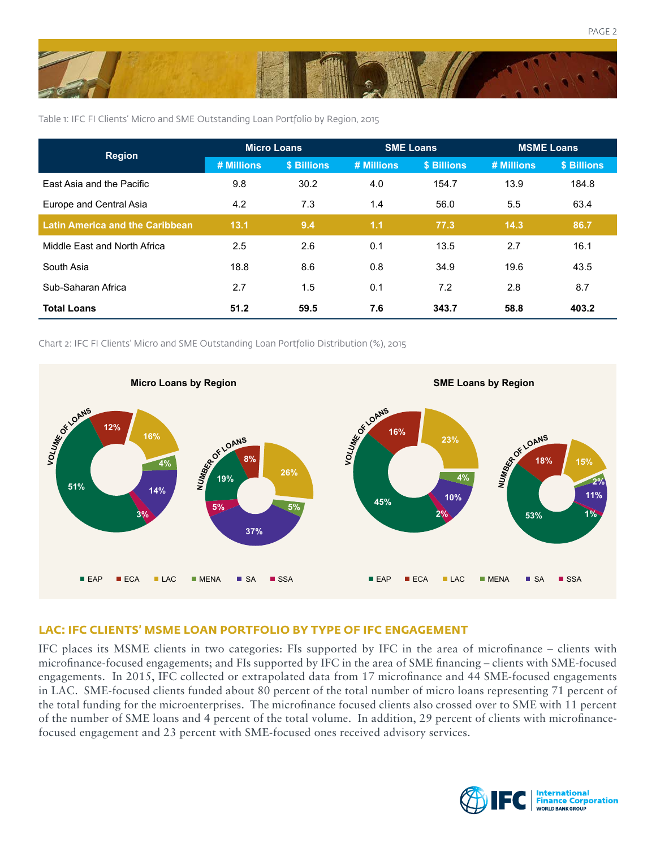

Table 1: IFC FI Clients' Micro and SME Outstanding Loan Portfolio by Region, 2015

| <b>Region</b>                          | Micro Loans |             | <b>SME Loans</b> |             | <b>MSME Loans</b> |             |
|----------------------------------------|-------------|-------------|------------------|-------------|-------------------|-------------|
|                                        | # Millions  | \$ Billions | # Millions       | \$ Billions | # Millions        | \$ Billions |
| East Asia and the Pacific              | 9.8         | 30.2        | 4.0              | 154.7       | 13.9              | 184.8       |
| Europe and Central Asia                | 4.2         | 7.3         | 1.4              | 56.0        | 5.5               | 63.4        |
| <b>Latin America and the Caribbean</b> | 13.1        | 9.4         | 1.1              | 77.3        | 14.3              | 86.7        |
| Middle East and North Africa           | 2.5         | 2.6         | 0.1              | 13.5        | 2.7               | 16.1        |
| South Asia                             | 18.8        | 8.6         | 0.8              | 34.9        | 19.6              | 43.5        |
| Sub-Saharan Africa                     | 2.7         | 1.5         | 0.1              | 7.2         | 2.8               | 8.7         |
| <b>Total Loans</b>                     | 51.2        | 59.5        | 7.6              | 343.7       | 58.8              | 403.2       |

Chart 2: IFC FI Clients' Micro and SME Outstanding Loan Portfolio Distribution (%), 2015



#### **LAC: IFC CLIENTS' MSME LOAN PORTFOLIO BY TYPE OF IFC ENGAGEMENT**

IFC places its MSME clients in two categories: FIs supported by IFC in the area of microfinance – clients with microfinance-focused engagements; and FIs supported by IFC in the area of SME financing – clients with SME-focused engagements. In 2015, IFC collected or extrapolated data from 17 microfinance and 44 SME-focused engagements in LAC. SME-focused clients funded about 80 percent of the total number of micro loans representing 71 percent of the total funding for the microenterprises. The microfinance focused clients also crossed over to SME with 11 percent of the number of SME loans and 4 percent of the total volume. In addition, 29 percent of clients with microfinancefocused engagement and 23 percent with SME-focused ones received advisory services.



PAGE 2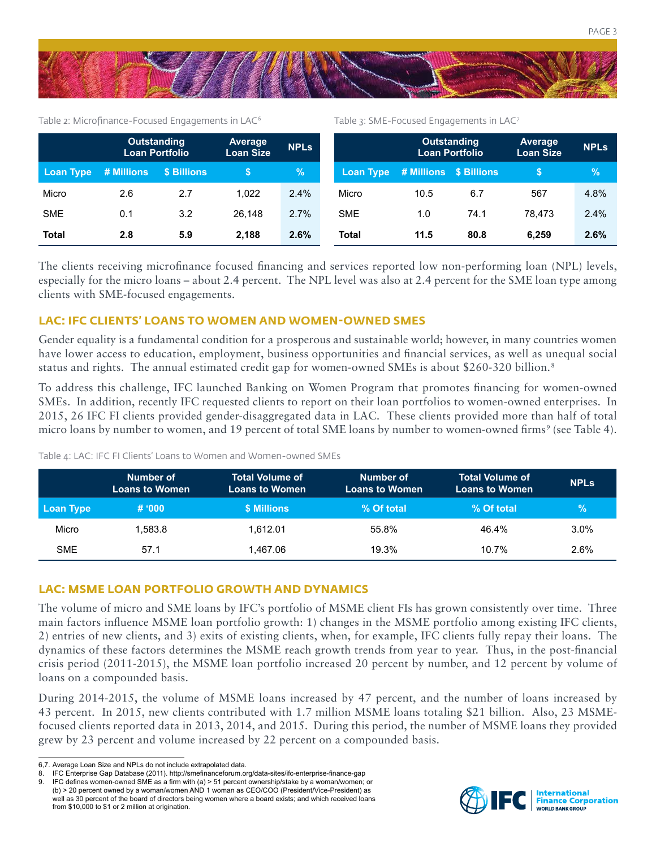

Table 2: Microfinance-Focused Engagements in LAC<sup>6</sup> Table 3: SME-Focused Engagements in LAC7

|              | <b>Outstanding</b><br><b>Loan Portfolio</b> |                   | Average<br><b>Loan Size</b> | <b>NPLs</b> |                                  | Outstanding<br><b>Loan Portfolio</b> |      | <b>Average</b><br><b>Loan Size</b> | <b>NPLs</b> |
|--------------|---------------------------------------------|-------------------|-----------------------------|-------------|----------------------------------|--------------------------------------|------|------------------------------------|-------------|
| Loan Type    | # Millions                                  | <b>S Billions</b> |                             | $\%$        | Loan Type # Millions \$ Billions |                                      |      |                                    | %           |
| Micro        | 2.6                                         | 2.7               | 1.022                       | 2.4%        | Micro                            | 10.5                                 | 6.7  | 567                                | 4.8%        |
| <b>SME</b>   | 0.1                                         | 3.2               | 26.148                      | 2.7%        | <b>SME</b>                       | 1.0                                  | 74.1 | 78.473                             | 2.4%        |
| <b>Total</b> | 2.8                                         | 5.9               | 2,188                       | 2.6%        | Total                            | 11.5                                 | 80.8 | 6.259                              | 2.6%        |

The clients receiving microfinance focused financing and services reported low non-performing loan (NPL) levels, especially for the micro loans – about 2.4 percent. The NPL level was also at 2.4 percent for the SME loan type among clients with SME-focused engagements.

#### **LAC: IFC CLIENTS' LOANS TO WOMEN AND WOMEN-OWNED SMES**

Gender equality is a fundamental condition for a prosperous and sustainable world; however, in many countries women have lower access to education, employment, business opportunities and financial services, as well as unequal social status and rights. The annual estimated credit gap for women-owned SMEs is about \$260-320 billion.<sup>8</sup>

To address this challenge, IFC launched Banking on Women Program that promotes financing for women-owned SMEs. In addition, recently IFC requested clients to report on their loan portfolios to women-owned enterprises. In 2015, 26 IFC FI clients provided gender-disaggregated data in LAC. These clients provided more than half of total micro loans by number to women, and 19 percent of total SME loans by number to women-owned firms<sup>9</sup> (see Table 4).

**Number of Loans to Women Total Volume of Loans to Women Number of Loans to Women Total Volume of Loans to Women NPLs Loan Type # '000 \$ Millions % Of total % Of total %** Micro 1,583.8 1,612.01 55.8% 46.4% 3.0% 3.0% SME 57.1 1,467.06 19.3% 10.7% 2.6%

Table 4: LAC: IFC FI Clients' Loans to Women and Women-owned SMEs

#### **LAC: MSME LOAN PORTFOLIO GROWTH AND DYNAMICS**

The volume of micro and SME loans by IFC's portfolio of MSME client FIs has grown consistently over time. Three main factors influence MSME loan portfolio growth: 1) changes in the MSME portfolio among existing IFC clients, 2) entries of new clients, and 3) exits of existing clients, when, for example, IFC clients fully repay their loans. The dynamics of these factors determines the MSME reach growth trends from year to year. Thus, in the post-financial crisis period (2011-2015), the MSME loan portfolio increased 20 percent by number, and 12 percent by volume of loans on a compounded basis.

During 2014-2015, the volume of MSME loans increased by 47 percent, and the number of loans increased by 43 percent. In 2015, new clients contributed with 1.7 million MSME loans totaling \$21 billion. Also, 23 MSMEfocused clients reported data in 2013, 2014, and 2015. During this period, the number of MSME loans they provided grew by 23 percent and volume increased by 22 percent on a compounded basis.



<sup>6,7.</sup> Average Loan Size and NPLs do not include extrapolated data.

<sup>8.</sup> IFC Enterprise Gap Database (2011). http://smefinanceforum.org/data-sites/ifc-enterprise-finance-gap

<sup>9.</sup> IFC defines women-owned SME as a firm with (a) > 51 percent ownership/stake by a woman/women; or (b) > 20 percent owned by a woman/women AND 1 woman as CEO/COO (President/Vice-President) as well as 30 percent of the board of directors being women where a board exists; and which received loans from \$10,000 to \$1 or 2 million at origination.